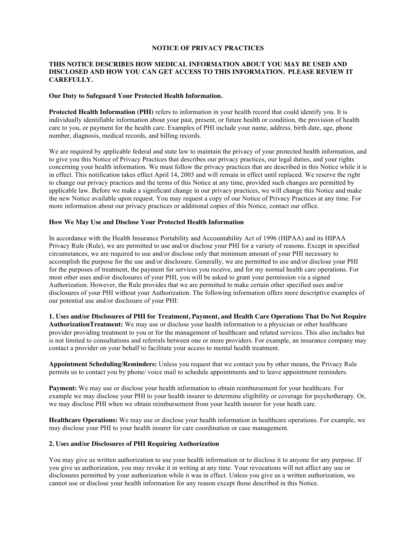### **NOTICE OF PRIVACY PRACTICES**

# **THIS NOTICE DESCRIBES HOW MEDICAL INFORMATION ABOUT YOU MAY BE USED AND DISCLOSED AND HOW YOU CAN GET ACCESS TO THIS INFORMATION. PLEASE REVIEW IT CAREFULLY.**

#### **Our Duty to Safeguard Your Protected Health Information.**

**Protected Health Information (PHI)** refers to information in your health record that could identify you. It is individually identifiable information about your past, present, or future health or condition, the provision of health care to you, or payment for the health care. Examples of PHI include your name, address, birth date, age, phone number, diagnosis, medical records, and billing records.

We are required by applicable federal and state law to maintain the privacy of your protected health information, and to give you this Notice of Privacy Practices that describes our privacy practices, our legal duties, and your rights concerning your health information. We must follow the privacy practices that are described in this Notice while it is in effect. This notification takes effect April 14, 2003 and will remain in effect until replaced. We reserve the right to change our privacy practices and the terms of this Notice at any time, provided such changes are permitted by applicable law. Before we make a significant change in our privacy practices, we will change this Notice and make the new Notice available upon request. You may request a copy of our Notice of Privacy Practices at any time. For more information about our privacy practices or additional copies of this Notice, contact our office.

## **How We May Use and Disclose Your Protected Health Information**

In accordance with the Health Insurance Portability and Accountability Act of 1996 (HIPAA) and its HIPAA Privacy Rule (Rule), we are permitted to use and/or disclose your PHI for a variety of reasons. Except in specified circumstances, we are required to use and/or disclose only that minimum amount of your PHI necessary to accomplish the purpose for the use and/or disclosure. Generally, we are permitted to use and/or disclose your PHI for the purposes of treatment, the payment for services you receive, and for my normal health care operations. For most other uses and/or disclosures of your PHI, you will be asked to grant your permission via a signed Authorization. However, the Rule provides that we are permitted to make certain other specified uses and/or disclosures of your PHI without your Authorization. The following information offers more descriptive examples of our potential use and/or disclosure of your PHI:

**1. Uses and/or Disclosures of PHI for Treatment, Payment, and Health Care Operations That Do Not Require AuthorizationTreatment:** We may use or disclose your health information to a physician or other healthcare provider providing treatment to you or for the management of healthcare and related services. This also includes but is not limited to consultations and referrals between one or more providers. For example, an insurance company may contact a provider on your behalf to facilitate your access to mental health treatment.

**Appointment Scheduling/Reminders:** Unless you request that we contact you by other means, the Privacy Rule permits us to contact you by phone/ voice mail to schedule appointments and to leave appointment reminders.

**Payment:** We may use or disclose your health information to obtain reimbursement for your healthcare. For example we may disclose your PHI to your health insurer to determine eligibility or coverage for psychotherapy. Or, we may disclose PHI when we obtain reimbursement from your health insurer for your heath care.

**Healthcare Operations:** We may use or disclose your health information in healthcare operations. For example, we may disclose your PHI to your health insurer for care coordination or case management.

### **2. Uses and/or Disclosures of PHI Requiring Authorization**

You may give us written authorization to use your health information or to disclose it to anyone for any purpose. If you give us authorization, you may revoke it in writing at any time. Your revocations will not affect any use or disclosures permitted by your authorization while it was in effect. Unless you give us a written authorization, we cannot use or disclose your health information for any reason except those described in this Notice.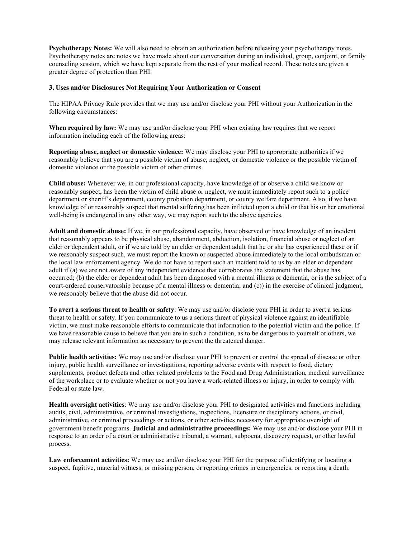**Psychotherapy Notes:** We will also need to obtain an authorization before releasing your psychotherapy notes. Psychotherapy notes are notes we have made about our conversation during an individual, group, conjoint, or family counseling session, which we have kept separate from the rest of your medical record. These notes are given a greater degree of protection than PHI.

## **3. Uses and/or Disclosures Not Requiring Your Authorization or Consent**

The HIPAA Privacy Rule provides that we may use and/or disclose your PHI without your Authorization in the following circumstances:

**When required by law:** We may use and/or disclose your PHI when existing law requires that we report information including each of the following areas:

**Reporting abuse, neglect or domestic violence:** We may disclose your PHI to appropriate authorities if we reasonably believe that you are a possible victim of abuse, neglect, or domestic violence or the possible victim of domestic violence or the possible victim of other crimes.

**Child abuse:** Whenever we, in our professional capacity, have knowledge of or observe a child we know or reasonably suspect, has been the victim of child abuse or neglect, we must immediately report such to a police department or sheriff's department, county probation department, or county welfare department. Also, if we have knowledge of or reasonably suspect that mental suffering has been inflicted upon a child or that his or her emotional well-being is endangered in any other way, we may report such to the above agencies.

**Adult and domestic abuse:** If we, in our professional capacity, have observed or have knowledge of an incident that reasonably appears to be physical abuse, abandonment, abduction, isolation, financial abuse or neglect of an elder or dependent adult, or if we are told by an elder or dependent adult that he or she has experienced these or if we reasonably suspect such, we must report the known or suspected abuse immediately to the local ombudsman or the local law enforcement agency. We do not have to report such an incident told to us by an elder or dependent adult if (a) we are not aware of any independent evidence that corroborates the statement that the abuse has occurred; (b) the elder or dependent adult has been diagnosed with a mental illness or dementia, or is the subject of a court-ordered conservatorship because of a mental illness or dementia; and (c)) in the exercise of clinical judgment, we reasonably believe that the abuse did not occur.

**To avert a serious threat to health or safety**: We may use and/or disclose your PHI in order to avert a serious threat to health or safety. If you communicate to us a serious threat of physical violence against an identifiable victim, we must make reasonable efforts to communicate that information to the potential victim and the police. If we have reasonable cause to believe that you are in such a condition, as to be dangerous to yourself or others, we may release relevant information as necessary to prevent the threatened danger.

**Public health activities:** We may use and/or disclose your PHI to prevent or control the spread of disease or other injury, public health surveillance or investigations, reporting adverse events with respect to food, dietary supplements, product defects and other related problems to the Food and Drug Administration, medical surveillance of the workplace or to evaluate whether or not you have a work-related illness or injury, in order to comply with Federal or state law.

**Health oversight activities**: We may use and/or disclose your PHI to designated activities and functions including audits, civil, administrative, or criminal investigations, inspections, licensure or disciplinary actions, or civil, administrative, or criminal proceedings or actions, or other activities necessary for appropriate oversight of government benefit programs. **Judicial and administrative proceedings:** We may use and/or disclose your PHI in response to an order of a court or administrative tribunal, a warrant, subpoena, discovery request, or other lawful process.

**Law enforcement activities:** We may use and/or disclose your PHI for the purpose of identifying or locating a suspect, fugitive, material witness, or missing person, or reporting crimes in emergencies, or reporting a death.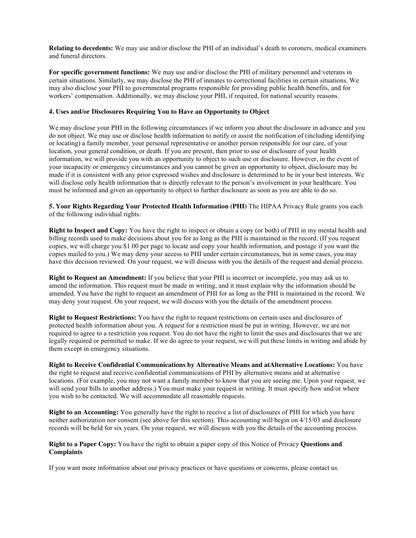**Relating to decedents:** We may use and/or disclose the PHI of an individual's death to coroners, medical examiners and funeral directors.

**For specific government functions:** We may use and/or disclose the PHI of military personnel and veterans in certain situations. Similarly, we may disclose the PHI of inmates to correctional facilities in certain situations. We may also disclose your PHI to governmental programs responsible for providing public health benefits, and for workers' compensation. Additionally, we may disclose your PHI, if required, for national security reasons.

### **4. Uses and/or Disclosures Requiring You to Have an Opportunity to Object**

We may disclose your PHI in the following circumstances if we inform you about the disclosure in advance and you do not object. We may use or disclose health information to notify or assist the notification of (including identifying or locating) a family member, your personal representative or another person responsible for our care, of your location, your general condition, or death. If you are present, then prior to use or disclosure of your health information, we will provide you with an opportunity to object to such use or disclosure. However, in the event of your incapacity or emergency circumstances and you cannot be given an opportunity to object, disclosure may be made if it is consistent with any prior expressed wishes and disclosure is determined to be in your best interests. We will disclose only health information that is directly relevant to the person's involvement in your healthcare. You must be informed and given an opportunity to object to further disclosure as soon as you are able to do so.

**5. Your Rights Regarding Your Protected Health Information (PHI)** The HIPAA Privacy Rule grants you each of the following individual rights:

**Right to Inspect and Copy:** You have the right to inspect or obtain a copy (or both) of PHI in my mental health and billing records used to make decisions about you for as long as the PHI is maintained in the record. (If you request copies, we will charge you \$1.00 per page to locate and copy your health information, and postage if you want the copies mailed to you.) We may deny your access to PHI under certain circumstances, but in some cases, you may have this decision reviewed. On your request, we will discuss with you the details of the request and denial process.

**Right to Request an Amendment:** If you believe that your PHI is incorrect or incomplete, you may ask us to amend the information. This request must be made in writing, and it must explain why the information should be amended. You have the right to request an amendment of PHI for as long as the PHI is maintained in the record. We may deny your request. On your request, we will discuss with you the details of the amendment process.

**Right to Request Restrictions:** You have the right to request restrictions on certain uses and disclosures of protected health information about you. A request for a restriction must be put in writing. However, we are not required to agree to a restriction you request. You do not have the right to limit the uses and disclosures that we are legally required or permitted to make. If we do agree to your request, we will put these limits in writing and abide by them except in emergency situations.

**Right to Receive Confidential Communications by Alternative Means and atAlternative Locations:** You have the right to request and receive confidential communications of PHI by alternative means and at alternative locations. (For example, you may not want a family member to know that you are seeing me. Upon your request, we will send your bills to another address.) You must make your request in writing. It must specify how and/or where you wish to be contacted. We will accommodate all reasonable requests.

**Right to an Accounting:** You generally have the right to receive a list of disclosures of PHI for which you have neither authorization nor consent (see above for this section). This accounting will begin on 4/15/03 and disclosure records will be held for six years. On your request, we will discuss with you the details of the accounting process.

**Right to a Paper Copy:** You have the right to obtain a paper copy of this Notice of Privacy **Questions and Complaints**

If you want more information about our privacy practices or have questions or concerns, please contact us.